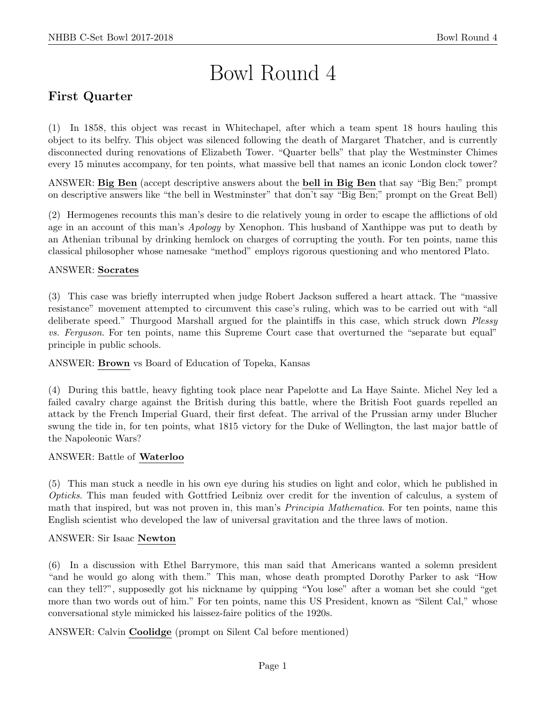# Bowl Round 4

# First Quarter

(1) In 1858, this object was recast in Whitechapel, after which a team spent 18 hours hauling this object to its belfry. This object was silenced following the death of Margaret Thatcher, and is currently disconnected during renovations of Elizabeth Tower. "Quarter bells" that play the Westminster Chimes every 15 minutes accompany, for ten points, what massive bell that names an iconic London clock tower?

ANSWER: Big Ben (accept descriptive answers about the bell in Big Ben that say "Big Ben;" prompt on descriptive answers like "the bell in Westminster" that don't say "Big Ben;" prompt on the Great Bell)

(2) Hermogenes recounts this man's desire to die relatively young in order to escape the afflictions of old age in an account of this man's *Apology* by Xenophon. This husband of Xanthippe was put to death by an Athenian tribunal by drinking hemlock on charges of corrupting the youth. For ten points, name this classical philosopher whose namesake "method" employs rigorous questioning and who mentored Plato.

#### ANSWER: Socrates

(3) This case was briefly interrupted when judge Robert Jackson suffered a heart attack. The "massive resistance" movement attempted to circumvent this case's ruling, which was to be carried out with "all deliberate speed." Thurgood Marshall argued for the plaintiffs in this case, which struck down *Plessy* vs. Ferguson. For ten points, name this Supreme Court case that overturned the "separate but equal" principle in public schools.

ANSWER: Brown vs Board of Education of Topeka, Kansas

(4) During this battle, heavy fighting took place near Papelotte and La Haye Sainte. Michel Ney led a failed cavalry charge against the British during this battle, where the British Foot guards repelled an attack by the French Imperial Guard, their first defeat. The arrival of the Prussian army under Blucher swung the tide in, for ten points, what 1815 victory for the Duke of Wellington, the last major battle of the Napoleonic Wars?

#### ANSWER: Battle of Waterloo

(5) This man stuck a needle in his own eye during his studies on light and color, which he published in Opticks. This man feuded with Gottfried Leibniz over credit for the invention of calculus, a system of math that inspired, but was not proven in, this man's Principia Mathematica. For ten points, name this English scientist who developed the law of universal gravitation and the three laws of motion.

#### ANSWER: Sir Isaac Newton

(6) In a discussion with Ethel Barrymore, this man said that Americans wanted a solemn president "and he would go along with them." This man, whose death prompted Dorothy Parker to ask "How can they tell?", supposedly got his nickname by quipping "You lose" after a woman bet she could "get more than two words out of him." For ten points, name this US President, known as "Silent Cal," whose conversational style mimicked his laissez-faire politics of the 1920s.

ANSWER: Calvin Coolidge (prompt on Silent Cal before mentioned)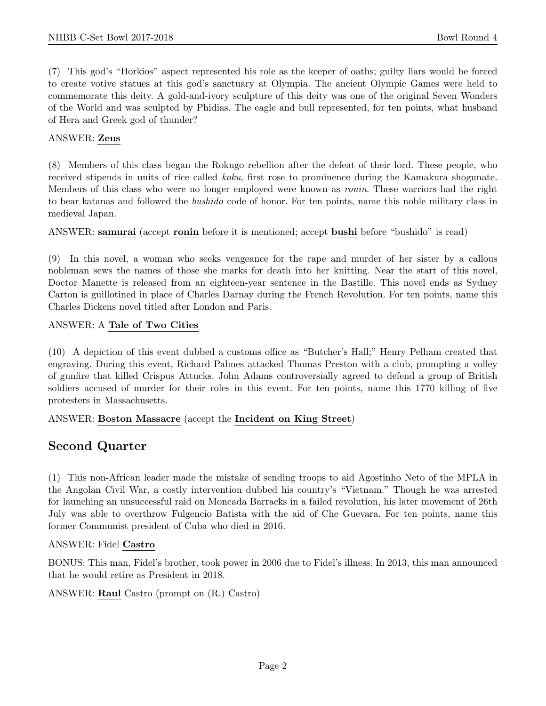(7) This god's "Horkios" aspect represented his role as the keeper of oaths; guilty liars would be forced to create votive statues at this god's sanctuary at Olympia. The ancient Olympic Games were held to commemorate this deity. A gold-and-ivory sculpture of this deity was one of the original Seven Wonders of the World and was sculpted by Phidias. The eagle and bull represented, for ten points, what husband of Hera and Greek god of thunder?

#### ANSWER: Zeus

(8) Members of this class began the Rokugo rebellion after the defeat of their lord. These people, who received stipends in units of rice called koku, first rose to prominence during the Kamakura shogunate. Members of this class who were no longer employed were known as ronin. These warriors had the right to bear katanas and followed the bushido code of honor. For ten points, name this noble military class in medieval Japan.

ANSWER: samurai (accept ronin before it is mentioned; accept bushi before "bushido" is read)

(9) In this novel, a woman who seeks vengeance for the rape and murder of her sister by a callous nobleman sews the names of those she marks for death into her knitting. Near the start of this novel, Doctor Manette is released from an eighteen-year sentence in the Bastille. This novel ends as Sydney Carton is guillotined in place of Charles Darnay during the French Revolution. For ten points, name this Charles Dickens novel titled after London and Paris.

#### ANSWER: A Tale of Two Cities

(10) A depiction of this event dubbed a customs office as "Butcher's Hall;" Henry Pelham created that engraving. During this event, Richard Palmes attacked Thomas Preston with a club, prompting a volley of gunfire that killed Crispus Attucks. John Adams controversially agreed to defend a group of British soldiers accused of murder for their roles in this event. For ten points, name this 1770 killing of five protesters in Massachusetts.

#### ANSWER: Boston Massacre (accept the Incident on King Street)

## Second Quarter

(1) This non-African leader made the mistake of sending troops to aid Agostinho Neto of the MPLA in the Angolan Civil War, a costly intervention dubbed his country's "Vietnam." Though he was arrested for launching an unsuccessful raid on Moncada Barracks in a failed revolution, his later movement of 26th July was able to overthrow Fulgencio Batista with the aid of Che Guevara. For ten points, name this former Communist president of Cuba who died in 2016.

#### ANSWER: Fidel Castro

BONUS: This man, Fidel's brother, took power in 2006 due to Fidel's illness. In 2013, this man announced that he would retire as President in 2018.

ANSWER: Raul Castro (prompt on (R.) Castro)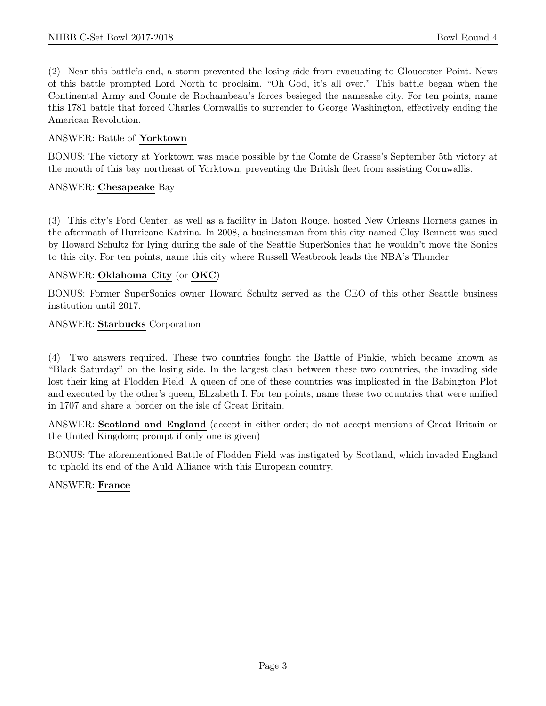(2) Near this battle's end, a storm prevented the losing side from evacuating to Gloucester Point. News of this battle prompted Lord North to proclaim, "Oh God, it's all over." This battle began when the Continental Army and Comte de Rochambeau's forces besieged the namesake city. For ten points, name this 1781 battle that forced Charles Cornwallis to surrender to George Washington, effectively ending the American Revolution.

#### ANSWER: Battle of Yorktown

BONUS: The victory at Yorktown was made possible by the Comte de Grasse's September 5th victory at the mouth of this bay northeast of Yorktown, preventing the British fleet from assisting Cornwallis.

#### ANSWER: Chesapeake Bay

(3) This city's Ford Center, as well as a facility in Baton Rouge, hosted New Orleans Hornets games in the aftermath of Hurricane Katrina. In 2008, a businessman from this city named Clay Bennett was sued by Howard Schultz for lying during the sale of the Seattle SuperSonics that he wouldn't move the Sonics to this city. For ten points, name this city where Russell Westbrook leads the NBA's Thunder.

#### ANSWER: Oklahoma City (or OKC)

BONUS: Former SuperSonics owner Howard Schultz served as the CEO of this other Seattle business institution until 2017.

#### ANSWER: Starbucks Corporation

(4) Two answers required. These two countries fought the Battle of Pinkie, which became known as "Black Saturday" on the losing side. In the largest clash between these two countries, the invading side lost their king at Flodden Field. A queen of one of these countries was implicated in the Babington Plot and executed by the other's queen, Elizabeth I. For ten points, name these two countries that were unified in 1707 and share a border on the isle of Great Britain.

ANSWER: Scotland and England (accept in either order; do not accept mentions of Great Britain or the United Kingdom; prompt if only one is given)

BONUS: The aforementioned Battle of Flodden Field was instigated by Scotland, which invaded England to uphold its end of the Auld Alliance with this European country.

#### ANSWER: France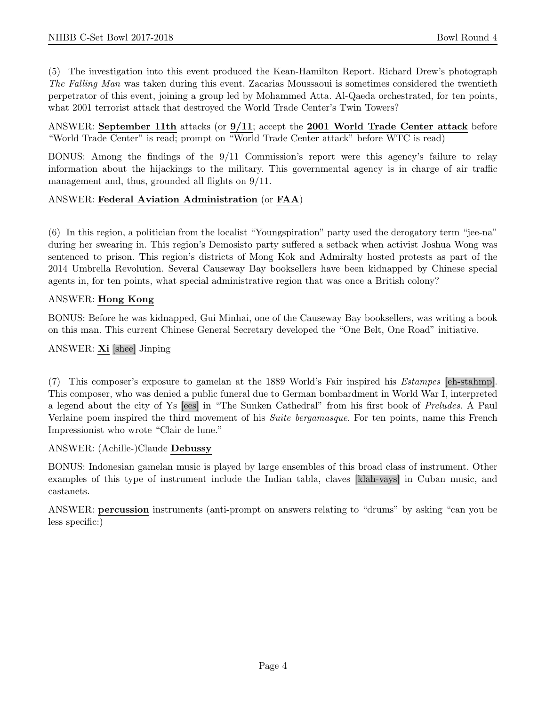(5) The investigation into this event produced the Kean-Hamilton Report. Richard Drew's photograph The Falling Man was taken during this event. Zacarias Moussaoui is sometimes considered the twentieth perpetrator of this event, joining a group led by Mohammed Atta. Al-Qaeda orchestrated, for ten points, what 2001 terrorist attack that destroyed the World Trade Center's Twin Towers?

ANSWER: September 11th attacks (or  $9/11$ ; accept the 2001 World Trade Center attack before "World Trade Center" is read; prompt on "World Trade Center attack" before WTC is read)

BONUS: Among the findings of the 9/11 Commission's report were this agency's failure to relay information about the hijackings to the military. This governmental agency is in charge of air traffic management and, thus, grounded all flights on  $9/11$ .

#### ANSWER: Federal Aviation Administration (or FAA)

(6) In this region, a politician from the localist "Youngspiration" party used the derogatory term "jee-na" during her swearing in. This region's Demosisto party suffered a setback when activist Joshua Wong was sentenced to prison. This region's districts of Mong Kok and Admiralty hosted protests as part of the 2014 Umbrella Revolution. Several Causeway Bay booksellers have been kidnapped by Chinese special agents in, for ten points, what special administrative region that was once a British colony?

#### ANSWER: Hong Kong

BONUS: Before he was kidnapped, Gui Minhai, one of the Causeway Bay booksellers, was writing a book on this man. This current Chinese General Secretary developed the "One Belt, One Road" initiative.

#### ANSWER: Xi [shee] Jinping

(7) This composer's exposure to gamelan at the 1889 World's Fair inspired his Estampes [eh-stahmp]. This composer, who was denied a public funeral due to German bombardment in World War I, interpreted a legend about the city of Ys [ees] in "The Sunken Cathedral" from his first book of Preludes. A Paul Verlaine poem inspired the third movement of his Suite bergamasque. For ten points, name this French Impressionist who wrote "Clair de lune."

#### ANSWER: (Achille-)Claude Debussy

BONUS: Indonesian gamelan music is played by large ensembles of this broad class of instrument. Other examples of this type of instrument include the Indian tabla, claves [klah-vays] in Cuban music, and castanets.

ANSWER: percussion instruments (anti-prompt on answers relating to "drums" by asking "can you be less specific:)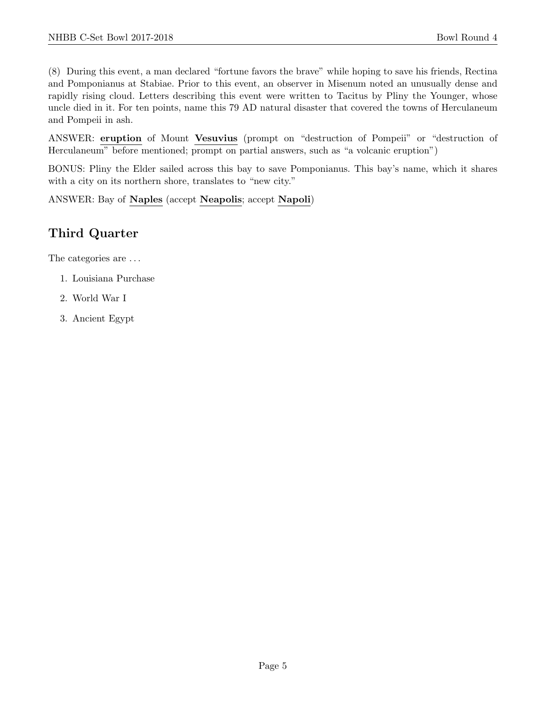(8) During this event, a man declared "fortune favors the brave" while hoping to save his friends, Rectina and Pomponianus at Stabiae. Prior to this event, an observer in Misenum noted an unusually dense and rapidly rising cloud. Letters describing this event were written to Tacitus by Pliny the Younger, whose uncle died in it. For ten points, name this 79 AD natural disaster that covered the towns of Herculaneum and Pompeii in ash.

ANSWER: eruption of Mount Vesuvius (prompt on "destruction of Pompeii" or "destruction of Herculaneum" before mentioned; prompt on partial answers, such as "a volcanic eruption")

BONUS: Pliny the Elder sailed across this bay to save Pomponianus. This bay's name, which it shares with a city on its northern shore, translates to "new city."

ANSWER: Bay of Naples (accept Neapolis; accept Napoli)

## Third Quarter

The categories are  $\dots$ 

- 1. Louisiana Purchase
- 2. World War I
- 3. Ancient Egypt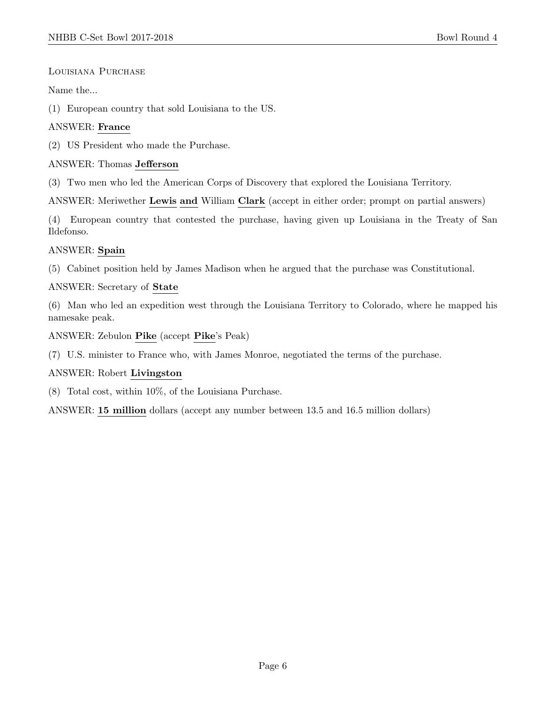#### Louisiana Purchase

#### Name the...

(1) European country that sold Louisiana to the US.

#### ANSWER: France

(2) US President who made the Purchase.

#### ANSWER: Thomas Jefferson

(3) Two men who led the American Corps of Discovery that explored the Louisiana Territory.

ANSWER: Meriwether Lewis and William Clark (accept in either order; prompt on partial answers)

(4) European country that contested the purchase, having given up Louisiana in the Treaty of San Ildefonso.

#### ANSWER: Spain

(5) Cabinet position held by James Madison when he argued that the purchase was Constitutional.

#### ANSWER: Secretary of State

(6) Man who led an expedition west through the Louisiana Territory to Colorado, where he mapped his namesake peak.

ANSWER: Zebulon Pike (accept Pike's Peak)

(7) U.S. minister to France who, with James Monroe, negotiated the terms of the purchase.

#### ANSWER: Robert Livingston

(8) Total cost, within 10%, of the Louisiana Purchase.

ANSWER: 15 million dollars (accept any number between 13.5 and 16.5 million dollars)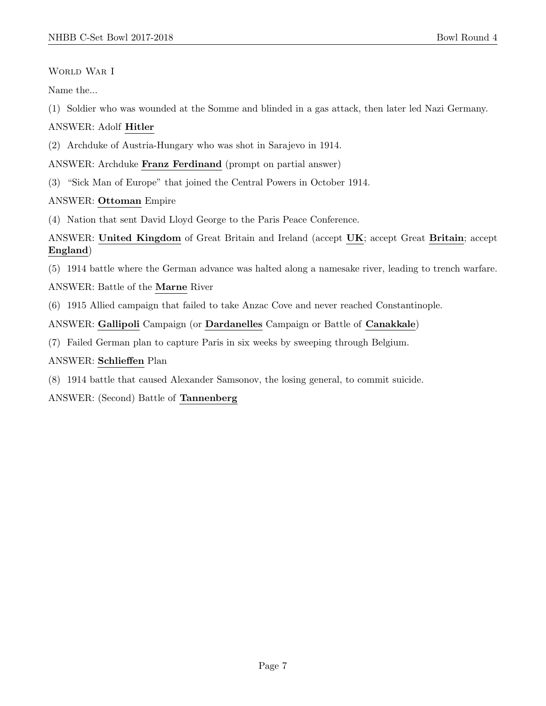#### WORLD WAR I

Name the...

(1) Soldier who was wounded at the Somme and blinded in a gas attack, then later led Nazi Germany.

#### ANSWER: Adolf Hitler

(2) Archduke of Austria-Hungary who was shot in Sarajevo in 1914.

#### ANSWER: Archduke Franz Ferdinand (prompt on partial answer)

(3) "Sick Man of Europe" that joined the Central Powers in October 1914.

#### ANSWER: Ottoman Empire

(4) Nation that sent David Lloyd George to the Paris Peace Conference.

#### ANSWER: United Kingdom of Great Britain and Ireland (accept UK; accept Great Britain; accept England)

(5) 1914 battle where the German advance was halted along a namesake river, leading to trench warfare.

#### ANSWER: Battle of the Marne River

(6) 1915 Allied campaign that failed to take Anzac Cove and never reached Constantinople.

ANSWER: Gallipoli Campaign (or Dardanelles Campaign or Battle of Canakkale)

(7) Failed German plan to capture Paris in six weeks by sweeping through Belgium.

#### ANSWER: Schlieffen Plan

(8) 1914 battle that caused Alexander Samsonov, the losing general, to commit suicide.

ANSWER: (Second) Battle of Tannenberg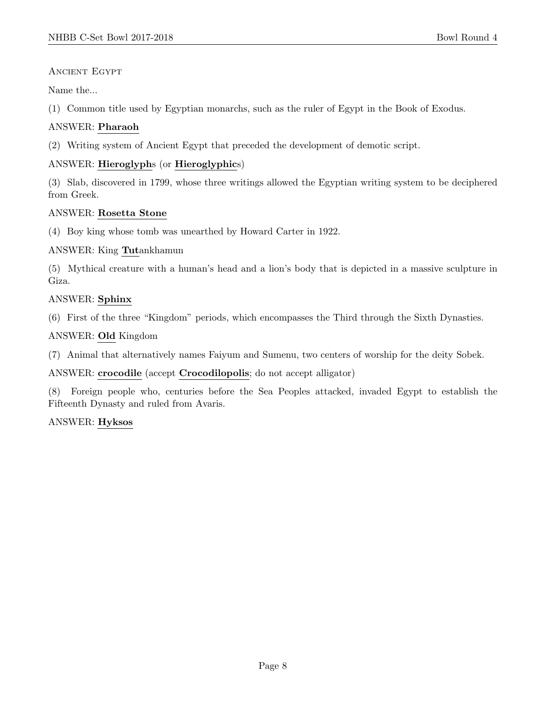#### Ancient Egypt

Name the...

(1) Common title used by Egyptian monarchs, such as the ruler of Egypt in the Book of Exodus.

#### ANSWER: Pharaoh

(2) Writing system of Ancient Egypt that preceded the development of demotic script.

#### ANSWER: Hieroglyphs (or Hieroglyphics)

(3) Slab, discovered in 1799, whose three writings allowed the Egyptian writing system to be deciphered from Greek.

#### ANSWER: Rosetta Stone

(4) Boy king whose tomb was unearthed by Howard Carter in 1922.

ANSWER: King Tutankhamun

(5) Mythical creature with a human's head and a lion's body that is depicted in a massive sculpture in Giza.

#### ANSWER: Sphinx

(6) First of the three "Kingdom" periods, which encompasses the Third through the Sixth Dynasties.

#### ANSWER: Old Kingdom

(7) Animal that alternatively names Faiyum and Sumenu, two centers of worship for the deity Sobek.

ANSWER: crocodile (accept Crocodilopolis; do not accept alligator)

(8) Foreign people who, centuries before the Sea Peoples attacked, invaded Egypt to establish the Fifteenth Dynasty and ruled from Avaris.

ANSWER: Hyksos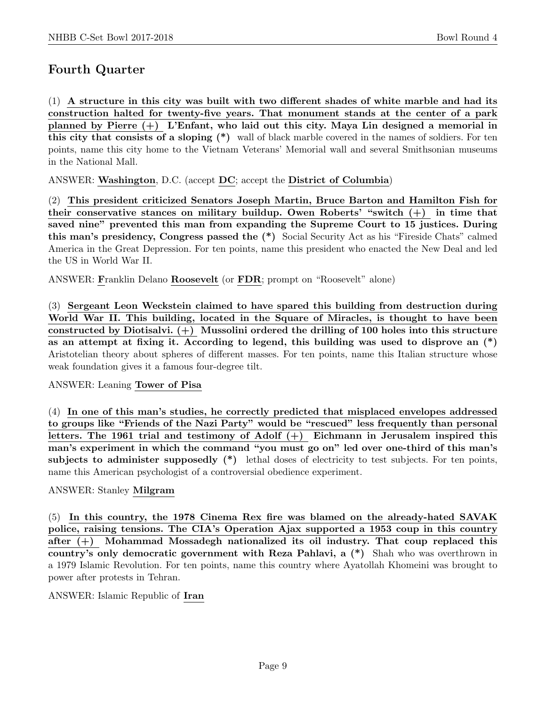## Fourth Quarter

(1) A structure in this city was built with two different shades of white marble and had its construction halted for twenty-five years. That monument stands at the center of a park planned by Pierre  $(+)$  L'Enfant, who laid out this city. Maya Lin designed a memorial in this city that consists of a sloping (\*) wall of black marble covered in the names of soldiers. For ten points, name this city home to the Vietnam Veterans' Memorial wall and several Smithsonian museums in the National Mall.

ANSWER: Washington, D.C. (accept DC; accept the District of Columbia)

(2) This president criticized Senators Joseph Martin, Bruce Barton and Hamilton Fish for their conservative stances on military buildup. Owen Roberts' "switch  $(+)$  in time that saved nine" prevented this man from expanding the Supreme Court to 15 justices. During this man's presidency, Congress passed the (\*) Social Security Act as his "Fireside Chats" calmed America in the Great Depression. For ten points, name this president who enacted the New Deal and led the US in World War II.

ANSWER: Franklin Delano Roosevelt (or FDR; prompt on "Roosevelt" alone)

(3) Sergeant Leon Weckstein claimed to have spared this building from destruction during World War II. This building, located in the Square of Miracles, is thought to have been constructed by Diotisalvi.  $(+)$  Mussolini ordered the drilling of 100 holes into this structure as an attempt at fixing it. According to legend, this building was used to disprove an (\*) Aristotelian theory about spheres of different masses. For ten points, name this Italian structure whose weak foundation gives it a famous four-degree tilt.

ANSWER: Leaning Tower of Pisa

(4) In one of this man's studies, he correctly predicted that misplaced envelopes addressed to groups like "Friends of the Nazi Party" would be "rescued" less frequently than personal letters. The 1961 trial and testimony of Adolf (+) Eichmann in Jerusalem inspired this man's experiment in which the command "you must go on" led over one-third of this man's subjects to administer supposedly  $(*)$  lethal doses of electricity to test subjects. For ten points, name this American psychologist of a controversial obedience experiment.

#### ANSWER: Stanley Milgram

(5) In this country, the 1978 Cinema Rex fire was blamed on the already-hated SAVAK police, raising tensions. The CIA's Operation Ajax supported a 1953 coup in this country after  $(+)$  Mohammad Mossadegh nationalized its oil industry. That coup replaced this country's only democratic government with Reza Pahlavi, a (\*) Shah who was overthrown in a 1979 Islamic Revolution. For ten points, name this country where Ayatollah Khomeini was brought to power after protests in Tehran.

#### ANSWER: Islamic Republic of Iran